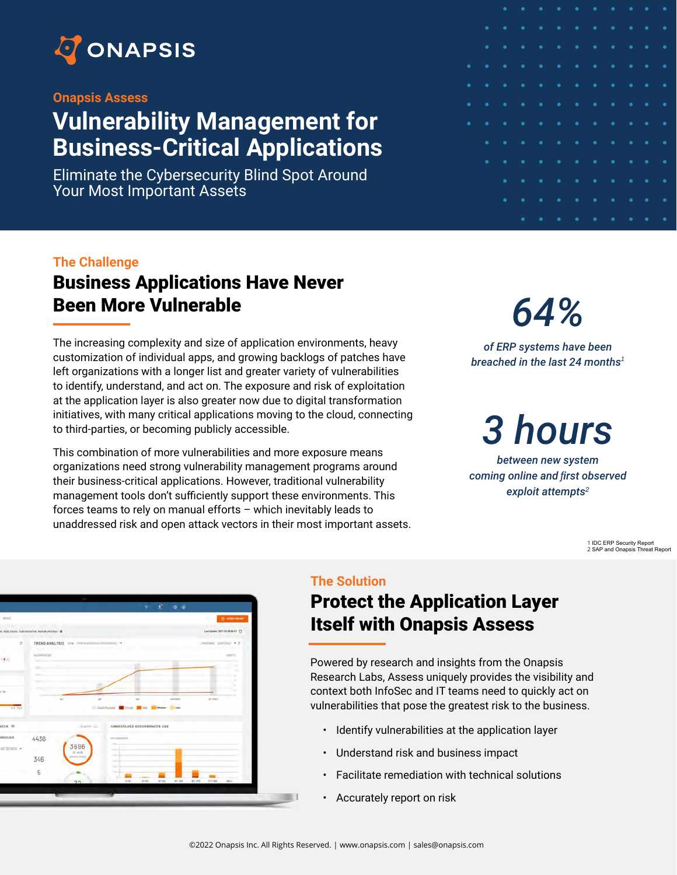

#### **Onapsis Assess**

## **Vulnerability Management for Business-Critical Applications**

Eliminate the Cybersecurity Blind Spot Around Your Most Important Assets

|           |           | $\bullet$ | $\bullet$<br><b>Service Service</b> |                                                                                                                             |                                                                                                                             |                                                                                                                             |                                     |           | $\bullet$ | $\overline{\phantom{a}}$<br>$\blacksquare$ |           |
|-----------|-----------|-----------|-------------------------------------|-----------------------------------------------------------------------------------------------------------------------------|-----------------------------------------------------------------------------------------------------------------------------|-----------------------------------------------------------------------------------------------------------------------------|-------------------------------------|-----------|-----------|--------------------------------------------|-----------|
|           | $\bullet$ | $\bullet$ | $\bullet$                           | $\bullet$<br>and the state of the state of the state of the state of the state of the state of the state of the state of th | $\bullet$<br>$\blacksquare$                                                                                                 | <b>Service Service</b>                                                                                                      | $\bullet$<br><b>Service Service</b> | $\bullet$ | $\bullet$ | $\bullet$                                  | $\bullet$ |
|           | $\bullet$ | $\bullet$ | $\bullet$                           | $\bullet$<br><b>Service Service</b>                                                                                         | $\bullet \qquad \bullet$                                                                                                    | and the state of the state of the state of the state of the state of the state of the state of the state of th              | $\bullet$                           | $\bullet$ | $\bullet$ | $\bullet$                                  | $\bullet$ |
| $\bullet$ | $\bullet$ | $\bullet$ | ٠                                   | $\bullet$                                                                                                                   |                                                                                                                             | $\bullet \qquad \bullet \qquad \bullet$                                                                                     | $\bullet$ .<br><br>.                | $\bullet$ | $\bullet$ | $\bullet$                                  | $\bullet$ |
| $\bullet$ | $\bullet$ | $\bullet$ | $\bullet$                           | $\bullet$                                                                                                                   | $\bullet\qquad\bullet$                                                                                                      |                                                                                                                             | <b>Contract Contract</b>            | $\bullet$ | $\bullet$ | $\bullet$                                  | $\bullet$ |
| $\bullet$ | $\bullet$ | $\bullet$ | $\bullet$                           | $\bullet$<br><b>Service Service</b>                                                                                         | $\bullet\qquad\bullet$                                                                                                      | <b>Service Service</b>                                                                                                      | $\bullet$<br><b>Service Service</b> | $\bullet$ | $\bullet$ | $\bullet$                                  | $\bullet$ |
| $\bullet$ | $\bullet$ | $\bullet$ | ٠                                   | $\bullet$                                                                                                                   | $\bullet$ .<br><br>:                                                                                                        | $\bullet$<br><b>Service Service</b>                                                                                         | $\bullet$ .<br><br>:                | $\bullet$ | $\bullet$ | $\bullet$                                  | ٠         |
|           |           |           |                                     |                                                                                                                             |                                                                                                                             |                                                                                                                             |                                     |           |           |                                            |           |
|           | $\bullet$ | $\bullet$ | $\bullet$                           | $\bullet$                                                                                                                   | $\bullet$ .<br><br>:                                                                                                        | $\bullet$<br><b>Service Service</b>                                                                                         | $\bullet$ .<br><br>:                | $\bullet$ | $\bullet$ | $\bullet$                                  | $\bullet$ |
|           | $\bullet$ | $\bullet$ | $\bullet$                           | $\bullet$                                                                                                                   | $\bullet$ .<br><br><br><br><br><br><br>                                                                                     | $\bullet$<br><b>Service Service</b>                                                                                         | $\bullet$ .                         | $\bullet$ | ٠         | ٠                                          | $\bullet$ |
|           |           | $\bullet$ | $\bullet$                           | $\bullet$                                                                                                                   | $\bullet$<br><b>Service Service</b>                                                                                         | $\bullet$<br><b>Service Service</b>                                                                                         | $\bullet$<br><b>Service Service</b> | $\bullet$ | ٠         | $\bullet$                                  | $\bullet$ |
|           |           | $\bullet$ | $\bullet$                           | $\bullet$                                                                                                                   | $\bullet$<br>and the state of the state of the state of the state of the state of the state of the state of the state of th | $\bullet$<br>and the state of the state of the state of the state of the state of the state of the state of the state of th | $\bullet$ .                         | $\bullet$ | $\bullet$ | $\bullet$                                  | $\bullet$ |
|           |           |           | $\bullet$                           | $\bullet$                                                                                                                   | $\bullet$                                                                                                                   | $\bullet$                                                                                                                   | $\bullet$ .                         | $\bullet$ | $\bullet$ | $\bullet$                                  | $\bullet$ |
|           |           |           |                                     |                                                                                                                             |                                                                                                                             |                                                                                                                             |                                     |           |           |                                            |           |

#### **The Challenge**

## Business Applications Have Never Been More Vulnerable

The increasing complexity and size of application environments, heavy customization of individual apps, and growing backlogs of patches have left organizations with a longer list and greater variety of vulnerabilities to identify, understand, and act on. The exposure and risk of exploitation at the application layer is also greater now due to digital transformation initiatives, with many critical applications moving to the cloud, connecting to third-parties, or becoming publicly accessible.

This combination of more vulnerabilities and more exposure means organizations need strong vulnerability management programs around their business-critical applications. However, traditional vulnerability management tools don't sufficiently support these environments. This forces teams to rely on manual efforts – which inevitably leads to unaddressed risk and open attack vectors in their most important assets.

# *64%*

*of ERP systems have been breached in the last 24 months<sup>1</sup>*

## *3 hours*

*between new system coming online and first observed exploit attempts<sup>2</sup>*

> 1 [IDC ERP Security Report](https://go.onapsis.com/infographic_idc_erp_security) 2 [SAP and Onapsis Threat Report](https://onapsis.com/active-cyberattacks-business-critical-sap-applications)



#### **The Solution**

### Protect the Application Layer Itself with Onapsis Assess

Powered by research and insights from the Onapsis Research Labs, Assess uniquely provides the visibility and context both InfoSec and IT teams need to quickly act on vulnerabilities that pose the greatest risk to the business.

- Identify vulnerabilities at the application layer
- Understand risk and business impact
- Facilitate remediation with technical solutions
- Accurately report on risk